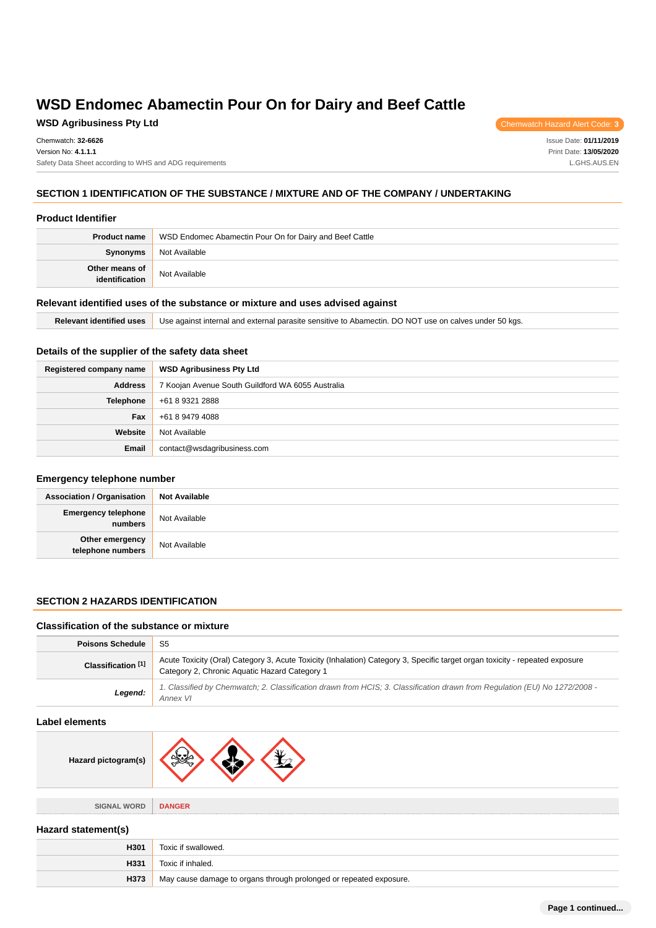**WSD Agribusiness Pty Ltd** Chemwatch Hazard Alert Code: **3** 

Issue Date: **01/11/2019** Print Date: **13/05/2020** L.GHS.AUS.EN

# **SECTION 1 IDENTIFICATION OF THE SUBSTANCE / MIXTURE AND OF THE COMPANY / UNDERTAKING**

### **Product Identifier**

| <b>Product name</b>              | WSD Endomec Abamectin Pour On for Dairy and Beef Cattle |  |
|----------------------------------|---------------------------------------------------------|--|
| Synonyms                         | Not Available                                           |  |
| Other means of<br>identification | Not Available                                           |  |

### **Relevant identified uses of the substance or mixture and uses advised against**

| Relevant identified uses | Use against internal and external parasite sensitive to Abamectin. DO NOT use on calves under 50 kgs. |
|--------------------------|-------------------------------------------------------------------------------------------------------|
|--------------------------|-------------------------------------------------------------------------------------------------------|

# **Details of the supplier of the safety data sheet**

| Registered company name | <b>WSD Agribusiness Pty Ltd</b>                   |  |
|-------------------------|---------------------------------------------------|--|
| <b>Address</b>          | 7 Koojan Avenue South Guildford WA 6055 Australia |  |
| <b>Telephone</b>        | +61 8 9321 2888                                   |  |
| <b>Fax</b>              | +61 8 9479 4088                                   |  |
| Website                 | Not Available                                     |  |
| Email                   | contact@wsdagribusiness.com                       |  |

### **Emergency telephone number**

| <b>Association / Organisation</b>     | <b>Not Available</b> |
|---------------------------------------|----------------------|
| <b>Emergency telephone</b><br>numbers | Not Available        |
| Other emergency<br>telephone numbers  | Not Available        |

# **SECTION 2 HAZARDS IDENTIFICATION**

# **Classification of the substance or mixture**

| <b>Poisons Schedule</b>       | S5                                                                                                                                                                            |  |
|-------------------------------|-------------------------------------------------------------------------------------------------------------------------------------------------------------------------------|--|
| Classification <sup>[1]</sup> | Acute Toxicity (Oral) Category 3, Acute Toxicity (Inhalation) Category 3, Specific target organ toxicity - repeated exposure<br>Category 2, Chronic Aquatic Hazard Category 1 |  |
| Legend:                       | 1. Classified by Chemwatch; 2. Classification drawn from HCIS; 3. Classification drawn from Regulation (EU) No 1272/2008 -<br>Annex VI                                        |  |

# **Label elements**

| Hazard pictogram(s) | ∖l⊽.\         |
|---------------------|---------------|
|                     |               |
| <b>SIGNAL WORD</b>  | <b>DANGER</b> |

### **Hazard statement(s)**

| H301 | Toxic if swallowed.                                                |  |
|------|--------------------------------------------------------------------|--|
| H331 | Toxic if inhaled.                                                  |  |
| H373 | May cause damage to organs through prolonged or repeated exposure. |  |

**Page 1 continued...**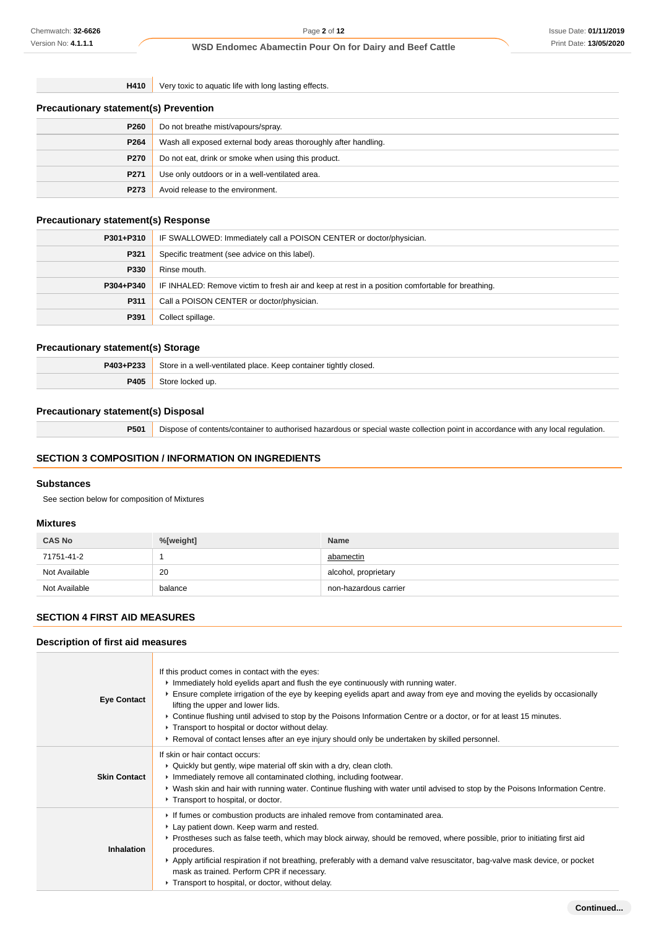**H410** Very toxic to aquatic life with long lasting effects.

|  | <b>Precautionary statement(s) Prevention</b> |
|--|----------------------------------------------|
|--|----------------------------------------------|

| P <sub>260</sub> | Do not breathe mist/vapours/spray.                              |  |
|------------------|-----------------------------------------------------------------|--|
| P <sub>264</sub> | Wash all exposed external body areas thoroughly after handling. |  |
| <b>P270</b>      | Do not eat, drink or smoke when using this product.             |  |
| P <sub>271</sub> | Use only outdoors or in a well-ventilated area.                 |  |
| P273             | Avoid release to the environment.                               |  |

## **Precautionary statement(s) Response**

| P301+P310 | IF SWALLOWED: Immediately call a POISON CENTER or doctor/physician.                              |  |
|-----------|--------------------------------------------------------------------------------------------------|--|
| P321      | Specific treatment (see advice on this label).                                                   |  |
| P330      | Rinse mouth.                                                                                     |  |
| P304+P340 | IF INHALED: Remove victim to fresh air and keep at rest in a position comfortable for breathing. |  |
| P311      | Call a POISON CENTER or doctor/physician.                                                        |  |
| P391      | Collect spillage.                                                                                |  |

# **Precautionary statement(s) Storage**

| P403+P233 | Store in a well-ventilated place. Keep container tightly closed. |  |
|-----------|------------------------------------------------------------------|--|
| P405      | Store locked up.                                                 |  |

# **Precautionary statement(s) Disposal**

**P501** Dispose of contents/container to authorised hazardous or special waste collection point in accordance with any local regulation.

# **SECTION 3 COMPOSITION / INFORMATION ON INGREDIENTS**

# **Substances**

See section below for composition of Mixtures

## **Mixtures**

| <b>CAS No</b> | %[weight] | <b>Name</b>           |
|---------------|-----------|-----------------------|
| 71751-41-2    |           | abamectin             |
| Not Available | 20        | alcohol, proprietary  |
| Not Available | balance   | non-hazardous carrier |

# **SECTION 4 FIRST AID MEASURES**

### **Description of first aid measures**

| <b>Eye Contact</b>  | If this product comes in contact with the eyes:<br>Immediately hold eyelids apart and flush the eye continuously with running water.<br>Ensure complete irrigation of the eye by keeping eyelids apart and away from eye and moving the eyelids by occasionally<br>lifting the upper and lower lids.<br>► Continue flushing until advised to stop by the Poisons Information Centre or a doctor, or for at least 15 minutes.<br>Transport to hospital or doctor without delay.<br>▶ Removal of contact lenses after an eye injury should only be undertaken by skilled personnel. |
|---------------------|-----------------------------------------------------------------------------------------------------------------------------------------------------------------------------------------------------------------------------------------------------------------------------------------------------------------------------------------------------------------------------------------------------------------------------------------------------------------------------------------------------------------------------------------------------------------------------------|
| <b>Skin Contact</b> | If skin or hair contact occurs:<br>▶ Quickly but gently, wipe material off skin with a dry, clean cloth.<br>Inmediately remove all contaminated clothing, including footwear.<br>▶ Wash skin and hair with running water. Continue flushing with water until advised to stop by the Poisons Information Centre.<br>Transport to hospital, or doctor.                                                                                                                                                                                                                              |
| <b>Inhalation</b>   | If fumes or combustion products are inhaled remove from contaminated area.<br>Lay patient down. Keep warm and rested.<br>▶ Prostheses such as false teeth, which may block airway, should be removed, where possible, prior to initiating first aid<br>procedures.<br>▶ Apply artificial respiration if not breathing, preferably with a demand valve resuscitator, bag-valve mask device, or pocket<br>mask as trained. Perform CPR if necessary.<br>Transport to hospital, or doctor, without delay.                                                                            |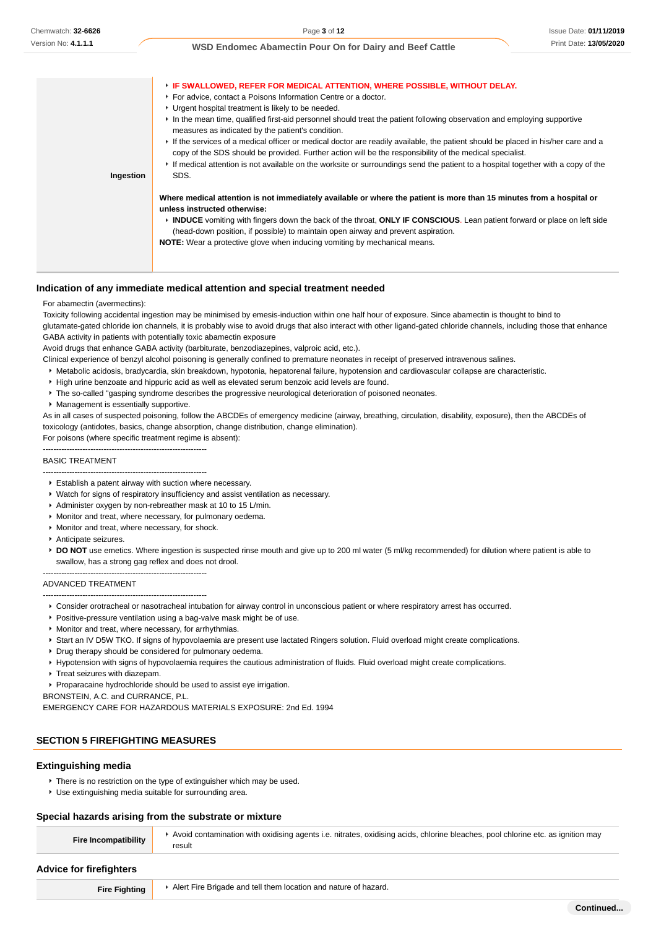| Ingestion | <b>EXAMPLE SWALLOWED, REFER FOR MEDICAL ATTENTION, WHERE POSSIBLE, WITHOUT DELAY.</b><br>▶ For advice, contact a Poisons Information Centre or a doctor.<br>• Urgent hospital treatment is likely to be needed.<br>In the mean time, qualified first-aid personnel should treat the patient following observation and employing supportive<br>measures as indicated by the patient's condition.<br>If the services of a medical officer or medical doctor are readily available, the patient should be placed in his/her care and a<br>copy of the SDS should be provided. Further action will be the responsibility of the medical specialist.<br>If medical attention is not available on the worksite or surroundings send the patient to a hospital together with a copy of the<br>SDS. |
|-----------|---------------------------------------------------------------------------------------------------------------------------------------------------------------------------------------------------------------------------------------------------------------------------------------------------------------------------------------------------------------------------------------------------------------------------------------------------------------------------------------------------------------------------------------------------------------------------------------------------------------------------------------------------------------------------------------------------------------------------------------------------------------------------------------------|
|           | Where medical attention is not immediately available or where the patient is more than 15 minutes from a hospital or<br>unless instructed otherwise:<br>► INDUCE vomiting with fingers down the back of the throat, ONLY IF CONSCIOUS. Lean patient forward or place on left side<br>(head-down position, if possible) to maintain open airway and prevent aspiration.<br><b>NOTE:</b> Wear a protective glove when inducing vomiting by mechanical means.                                                                                                                                                                                                                                                                                                                                  |

## **Indication of any immediate medical attention and special treatment needed**

#### For abamectin (avermectins):

Toxicity following accidental ingestion may be minimised by emesis-induction within one half hour of exposure. Since abamectin is thought to bind to glutamate-gated chloride ion channels, it is probably wise to avoid drugs that also interact with other ligand-gated chloride channels, including those that enhance GABA activity in patients with potentially toxic abamectin exposure

Avoid drugs that enhance GABA activity (barbiturate, benzodiazepines, valproic acid, etc.).

Clinical experience of benzyl alcohol poisoning is generally confined to premature neonates in receipt of preserved intravenous salines.

- Metabolic acidosis, bradycardia, skin breakdown, hypotonia, hepatorenal failure, hypotension and cardiovascular collapse are characteristic.
- High urine benzoate and hippuric acid as well as elevated serum benzoic acid levels are found.
- The so-called "gasping syndrome describes the progressive neurological deterioration of poisoned neonates.
- Management is essentially supportive.

As in all cases of suspected poisoning, follow the ABCDEs of emergency medicine (airway, breathing, circulation, disability, exposure), then the ABCDEs of toxicology (antidotes, basics, change absorption, change distribution, change elimination).

For poisons (where specific treatment regime is absent):

--------------------------------------------------------------

#### BASIC TREATMENT

- -------------------------------------------------------------- Establish a patent airway with suction where necessary.
- Watch for signs of respiratory insufficiency and assist ventilation as necessary.
- Administer oxygen by non-rebreather mask at 10 to 15 L/min.
- Monitor and treat, where necessary, for pulmonary oedema.
- Monitor and treat, where necessary, for shock.
- Anticipate seizures.
- **DO NOT** use emetics. Where ingestion is suspected rinse mouth and give up to 200 ml water (5 ml/kg recommended) for dilution where patient is able to swallow, has a strong gag reflex and does not drool.

-------------------------------------------------------------- ADVANCED TREATMENT

- --------------------------------------------------------------
- Consider orotracheal or nasotracheal intubation for airway control in unconscious patient or where respiratory arrest has occurred.
- **Positive-pressure ventilation using a bag-valve mask might be of use.**
- **Monitor and treat, where necessary, for arrhythmias.**
- Start an IV D5W TKO. If signs of hypovolaemia are present use lactated Ringers solution. Fluid overload might create complications.
- **P** Drug therapy should be considered for pulmonary oedema.
- Hypotension with signs of hypovolaemia requires the cautious administration of fluids. Fluid overload might create complications.
- **Treat seizures with diazepam.**
- Proparacaine hydrochloride should be used to assist eye irrigation.

BRONSTEIN, A.C. and CURRANCE, P.L.

EMERGENCY CARE FOR HAZARDOUS MATERIALS EXPOSURE: 2nd Ed. 1994

# **SECTION 5 FIREFIGHTING MEASURES**

### **Extinguishing media**

- **There is no restriction on the type of extinguisher which may be used.**
- Use extinguishing media suitable for surrounding area.

### **Special hazards arising from the substrate or mixture**

| Fire Incompatibility           | Avoid contamination with oxidising agents i.e. nitrates, oxidising acids, chlorine bleaches, pool chlorine etc. as ignition may<br>result |  |
|--------------------------------|-------------------------------------------------------------------------------------------------------------------------------------------|--|
| <b>Advice for firefighters</b> |                                                                                                                                           |  |
| <b>Fire Fighting</b>           | Alert Fire Brigade and tell them location and nature of hazard.                                                                           |  |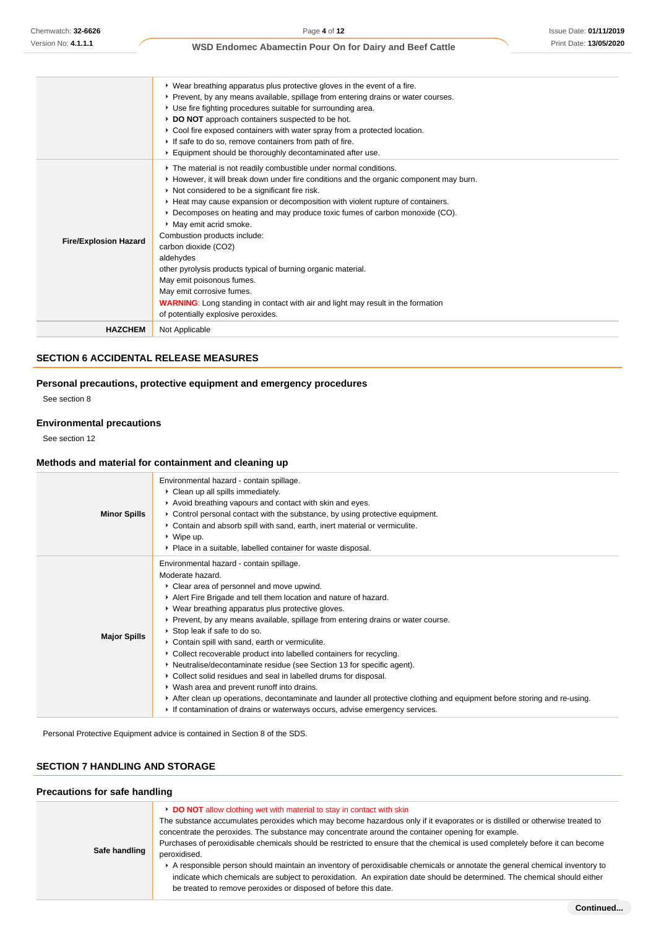|                              | ▶ Wear breathing apparatus plus protective gloves in the event of a fire.<br>▶ Prevent, by any means available, spillage from entering drains or water courses.<br>► Use fire fighting procedures suitable for surrounding area.<br>DO NOT approach containers suspected to be hot.<br>▶ Cool fire exposed containers with water spray from a protected location.<br>If safe to do so, remove containers from path of fire.<br>Equipment should be thoroughly decontaminated after use.                                                                                                                                                                                                                                                  |
|------------------------------|------------------------------------------------------------------------------------------------------------------------------------------------------------------------------------------------------------------------------------------------------------------------------------------------------------------------------------------------------------------------------------------------------------------------------------------------------------------------------------------------------------------------------------------------------------------------------------------------------------------------------------------------------------------------------------------------------------------------------------------|
| <b>Fire/Explosion Hazard</b> | The material is not readily combustible under normal conditions.<br>► However, it will break down under fire conditions and the organic component may burn.<br>Not considered to be a significant fire risk.<br>Heat may cause expansion or decomposition with violent rupture of containers.<br>▶ Decomposes on heating and may produce toxic fumes of carbon monoxide (CO).<br>May emit acrid smoke.<br>Combustion products include:<br>carbon dioxide (CO2)<br>aldehydes<br>other pyrolysis products typical of burning organic material.<br>May emit poisonous fumes.<br>May emit corrosive fumes.<br><b>WARNING:</b> Long standing in contact with air and light may result in the formation<br>of potentially explosive peroxides. |
| <b>HAZCHEM</b>               | Not Applicable                                                                                                                                                                                                                                                                                                                                                                                                                                                                                                                                                                                                                                                                                                                           |

# **SECTION 6 ACCIDENTAL RELEASE MEASURES**

# **Personal precautions, protective equipment and emergency procedures**

See section 8

# **Environmental precautions**

See section 12

# **Methods and material for containment and cleaning up**

|                     | Environmental hazard - contain spillage.<br>• Clean up all spills immediately.                                                                                                                                                                                                                                                                                                                                                                                                                                                                                                                                                                                                                                                                                                                                                                                                               |
|---------------------|----------------------------------------------------------------------------------------------------------------------------------------------------------------------------------------------------------------------------------------------------------------------------------------------------------------------------------------------------------------------------------------------------------------------------------------------------------------------------------------------------------------------------------------------------------------------------------------------------------------------------------------------------------------------------------------------------------------------------------------------------------------------------------------------------------------------------------------------------------------------------------------------|
| <b>Minor Spills</b> | Avoid breathing vapours and contact with skin and eyes.<br>• Control personal contact with the substance, by using protective equipment.<br>• Contain and absorb spill with sand, earth, inert material or vermiculite.<br>$\cdot$ Wipe up.<br>• Place in a suitable, labelled container for waste disposal.                                                                                                                                                                                                                                                                                                                                                                                                                                                                                                                                                                                 |
| <b>Major Spills</b> | Environmental hazard - contain spillage.<br>Moderate hazard.<br>• Clear area of personnel and move upwind.<br>Alert Fire Brigade and tell them location and nature of hazard.<br>• Wear breathing apparatus plus protective gloves.<br>► Prevent, by any means available, spillage from entering drains or water course.<br>▶ Stop leak if safe to do so.<br>Contain spill with sand, earth or vermiculite.<br>• Collect recoverable product into labelled containers for recycling.<br>• Neutralise/decontaminate residue (see Section 13 for specific agent).<br>• Collect solid residues and seal in labelled drums for disposal.<br>▶ Wash area and prevent runoff into drains.<br>After clean up operations, decontaminate and launder all protective clothing and equipment before storing and re-using.<br>If contamination of drains or waterways occurs, advise emergency services. |

Personal Protective Equipment advice is contained in Section 8 of the SDS.

### **SECTION 7 HANDLING AND STORAGE**

| <b>Precautions for safe handling</b> |                                                                                                                                                                                                                                                                                                                                                                                                                                                                                                                                                                                                                                                                                                                                                                                           |  |
|--------------------------------------|-------------------------------------------------------------------------------------------------------------------------------------------------------------------------------------------------------------------------------------------------------------------------------------------------------------------------------------------------------------------------------------------------------------------------------------------------------------------------------------------------------------------------------------------------------------------------------------------------------------------------------------------------------------------------------------------------------------------------------------------------------------------------------------------|--|
| Safe handling                        | DO NOT allow clothing wet with material to stay in contact with skin<br>The substance accumulates peroxides which may become hazardous only if it evaporates or is distilled or otherwise treated to<br>concentrate the peroxides. The substance may concentrate around the container opening for example.<br>Purchases of peroxidisable chemicals should be restricted to ensure that the chemical is used completely before it can become<br>peroxidised.<br>A responsible person should maintain an inventory of peroxidisable chemicals or annotate the general chemical inventory to<br>indicate which chemicals are subject to peroxidation. An expiration date should be determined. The chemical should either<br>be treated to remove peroxides or disposed of before this date. |  |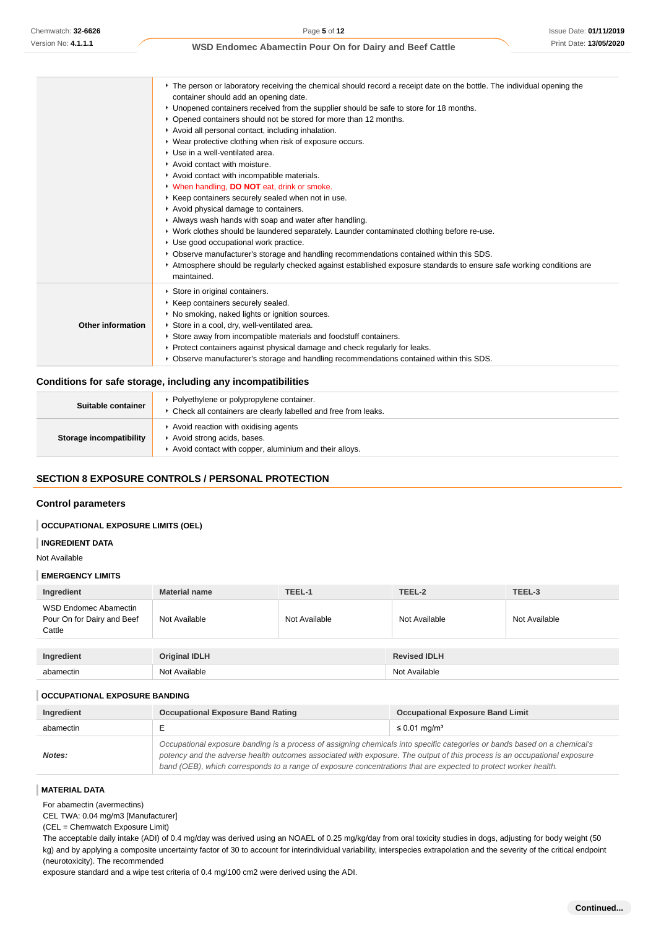|                          | The person or laboratory receiving the chemical should record a receipt date on the bottle. The individual opening the |  |  |  |
|--------------------------|------------------------------------------------------------------------------------------------------------------------|--|--|--|
|                          | container should add an opening date.                                                                                  |  |  |  |
|                          | ► Unopened containers received from the supplier should be safe to store for 18 months.                                |  |  |  |
|                          | • Opened containers should not be stored for more than 12 months.                                                      |  |  |  |
|                          | Avoid all personal contact, including inhalation.                                                                      |  |  |  |
|                          | • Wear protective clothing when risk of exposure occurs.                                                               |  |  |  |
|                          | ▶ Use in a well-ventilated area.                                                                                       |  |  |  |
|                          | Avoid contact with moisture.                                                                                           |  |  |  |
|                          | Avoid contact with incompatible materials.                                                                             |  |  |  |
|                          | V When handling, DO NOT eat, drink or smoke.                                                                           |  |  |  |
|                          | ▶ Keep containers securely sealed when not in use.                                                                     |  |  |  |
|                          | Avoid physical damage to containers.                                                                                   |  |  |  |
|                          | Always wash hands with soap and water after handling.                                                                  |  |  |  |
|                          | ▶ Work clothes should be laundered separately. Launder contaminated clothing before re-use.                            |  |  |  |
|                          | ► Use good occupational work practice.                                                                                 |  |  |  |
|                          | ▶ Observe manufacturer's storage and handling recommendations contained within this SDS.                               |  |  |  |
|                          | Atmosphere should be regularly checked against established exposure standards to ensure safe working conditions are    |  |  |  |
|                          | maintained.                                                                                                            |  |  |  |
|                          | Store in original containers.                                                                                          |  |  |  |
|                          | ▶ Keep containers securely sealed.                                                                                     |  |  |  |
|                          | • No smoking, naked lights or ignition sources.                                                                        |  |  |  |
| <b>Other information</b> | Store in a cool, dry, well-ventilated area.                                                                            |  |  |  |
|                          | Store away from incompatible materials and foodstuff containers.                                                       |  |  |  |
|                          | ► Protect containers against physical damage and check regularly for leaks.                                            |  |  |  |
|                          | ▶ Observe manufacturer's storage and handling recommendations contained within this SDS.                               |  |  |  |

# **Conditions for safe storage, including any incompatibilities**

| Suitable container      | Polyethylene or polypropylene container.<br>• Check all containers are clearly labelled and free from leaks.                 |
|-------------------------|------------------------------------------------------------------------------------------------------------------------------|
| Storage incompatibility | Avoid reaction with oxidising agents<br>Avoid strong acids, bases.<br>Avoid contact with copper, aluminium and their alloys. |

# **SECTION 8 EXPOSURE CONTROLS / PERSONAL PROTECTION**

### **Control parameters**

### **OCCUPATIONAL EXPOSURE LIMITS (OEL)**

**INGREDIENT DATA**

### Not Available

#### **EMERGENCY LIMITS**

| Ingredient                                                    | <b>Material name</b> | TEEL-1        | TEEL-2              | TEEL-3        |
|---------------------------------------------------------------|----------------------|---------------|---------------------|---------------|
| WSD Endomec Abamectin<br>Pour On for Dairy and Beef<br>Cattle | Not Available        | Not Available | Not Available       | Not Available |
|                                                               |                      |               |                     |               |
| Ingredient                                                    | <b>Original IDLH</b> |               | <b>Revised IDLH</b> |               |
| abamectin                                                     | Not Available        |               | Not Available       |               |

### **OCCUPATIONAL EXPOSURE BANDING**

| Ingredient | <b>Occupational Exposure Band Rating</b>                                                                                                                                                                                                                                                                                                                                 | <b>Occupational Exposure Band Limit</b> |
|------------|--------------------------------------------------------------------------------------------------------------------------------------------------------------------------------------------------------------------------------------------------------------------------------------------------------------------------------------------------------------------------|-----------------------------------------|
| abamectin  | $\leq 0.01$ mg/m <sup>3</sup>                                                                                                                                                                                                                                                                                                                                            |                                         |
| Notes:     | Occupational exposure banding is a process of assigning chemicals into specific categories or bands based on a chemical's<br>potency and the adverse health outcomes associated with exposure. The output of this process is an occupational exposure<br>band (OEB), which corresponds to a range of exposure concentrations that are expected to protect worker health. |                                         |

### **MATERIAL DATA**

For abamectin (avermectins)

CEL TWA: 0.04 mg/m3 [Manufacturer]

(CEL = Chemwatch Exposure Limit)

The acceptable daily intake (ADI) of 0.4 mg/day was derived using an NOAEL of 0.25 mg/kg/day from oral toxicity studies in dogs, adjusting for body weight (50 kg) and by applying a composite uncertainty factor of 30 to account for interindividual variability, interspecies extrapolation and the severity of the critical endpoint (neurotoxicity). The recommended

exposure standard and a wipe test criteria of 0.4 mg/100 cm2 were derived using the ADI.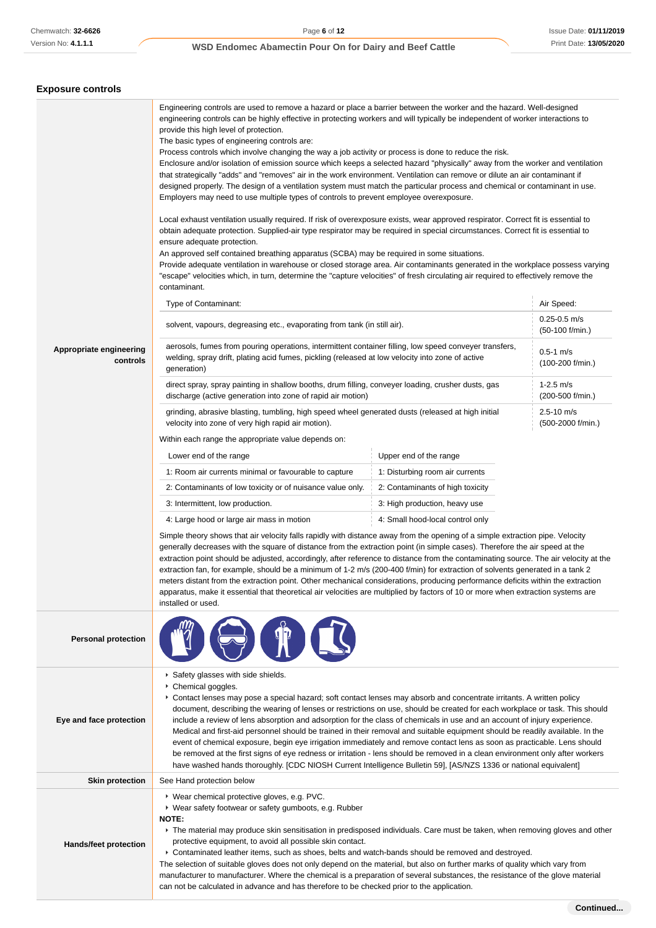# **Exposure controls**

| Appropriate engineering<br>controls | Engineering controls are used to remove a hazard or place a barrier between the worker and the hazard. Well-designed<br>engineering controls can be highly effective in protecting workers and will typically be independent of worker interactions to<br>provide this high level of protection.<br>The basic types of engineering controls are:<br>Process controls which involve changing the way a job activity or process is done to reduce the risk.<br>Enclosure and/or isolation of emission source which keeps a selected hazard "physically" away from the worker and ventilation<br>that strategically "adds" and "removes" air in the work environment. Ventilation can remove or dilute an air contaminant if<br>designed properly. The design of a ventilation system must match the particular process and chemical or contaminant in use.<br>Employers may need to use multiple types of controls to prevent employee overexposure.<br>Local exhaust ventilation usually required. If risk of overexposure exists, wear approved respirator. Correct fit is essential to<br>obtain adequate protection. Supplied-air type respirator may be required in special circumstances. Correct fit is essential to<br>ensure adequate protection.<br>An approved self contained breathing apparatus (SCBA) may be required in some situations.<br>Provide adequate ventilation in warehouse or closed storage area. Air contaminants generated in the workplace possess varying<br>"escape" velocities which, in turn, determine the "capture velocities" of fresh circulating air required to effectively remove the<br>contaminant.<br>Type of Contaminant:<br>Air Speed:<br>solvent, vapours, degreasing etc., evaporating from tank (in still air).<br>aerosols, fumes from pouring operations, intermittent container filling, low speed conveyer transfers,<br>$0.5 - 1$ m/s<br>welding, spray drift, plating acid fumes, pickling (released at low velocity into zone of active<br>generation)<br>$1-2.5$ m/s<br>direct spray, spray painting in shallow booths, drum filling, conveyer loading, crusher dusts, gas<br>discharge (active generation into zone of rapid air motion)<br>$2.5 - 10$ m/s<br>grinding, abrasive blasting, tumbling, high speed wheel generated dusts (released at high initial<br>velocity into zone of very high rapid air motion).<br>Within each range the appropriate value depends on:<br>Lower end of the range<br>Upper end of the range<br>1: Room air currents minimal or favourable to capture<br>1: Disturbing room air currents<br>2: Contaminants of low toxicity or of nuisance value only.<br>2: Contaminants of high toxicity<br>3: Intermittent, low production.<br>3: High production, heavy use<br>4: Small hood-local control only<br>4: Large hood or large air mass in motion<br>Simple theory shows that air velocity falls rapidly with distance away from the opening of a simple extraction pipe. Velocity<br>generally decreases with the square of distance from the extraction point (in simple cases). Therefore the air speed at the<br>extraction point should be adjusted, accordingly, after reference to distance from the contaminating source. The air velocity at the<br>extraction fan, for example, should be a minimum of 1-2 m/s (200-400 f/min) for extraction of solvents generated in a tank 2<br>meters distant from the extraction point. Other mechanical considerations, producing performance deficits within the extraction<br>apparatus, make it essential that theoretical air velocities are multiplied by factors of 10 or more when extraction systems are<br>installed or used. |  | $0.25 - 0.5$ m/s<br>(50-100 f/min.)<br>(100-200 f/min.)<br>(200-500 f/min.)<br>(500-2000 f/min.) |
|-------------------------------------|-----------------------------------------------------------------------------------------------------------------------------------------------------------------------------------------------------------------------------------------------------------------------------------------------------------------------------------------------------------------------------------------------------------------------------------------------------------------------------------------------------------------------------------------------------------------------------------------------------------------------------------------------------------------------------------------------------------------------------------------------------------------------------------------------------------------------------------------------------------------------------------------------------------------------------------------------------------------------------------------------------------------------------------------------------------------------------------------------------------------------------------------------------------------------------------------------------------------------------------------------------------------------------------------------------------------------------------------------------------------------------------------------------------------------------------------------------------------------------------------------------------------------------------------------------------------------------------------------------------------------------------------------------------------------------------------------------------------------------------------------------------------------------------------------------------------------------------------------------------------------------------------------------------------------------------------------------------------------------------------------------------------------------------------------------------------------------------------------------------------------------------------------------------------------------------------------------------------------------------------------------------------------------------------------------------------------------------------------------------------------------------------------------------------------------------------------------------------------------------------------------------------------------------------------------------------------------------------------------------------------------------------------------------------------------------------------------------------------------------------------------------------------------------------------------------------------------------------------------------------------------------------------------------------------------------------------------------------------------------------------------------------------------------------------------------------------------------------------------------------------------------------------------------------------------------------------------------------------------------------------------------------------------------------------------------------------------------------------------------------------------------------------------------------------------------------------------------------------------------------------------------------------------------------------------------------------------------------------------------------------------------------------------------------------------------|--|--------------------------------------------------------------------------------------------------|
| <b>Personal protection</b>          |                                                                                                                                                                                                                                                                                                                                                                                                                                                                                                                                                                                                                                                                                                                                                                                                                                                                                                                                                                                                                                                                                                                                                                                                                                                                                                                                                                                                                                                                                                                                                                                                                                                                                                                                                                                                                                                                                                                                                                                                                                                                                                                                                                                                                                                                                                                                                                                                                                                                                                                                                                                                                                                                                                                                                                                                                                                                                                                                                                                                                                                                                                                                                                                                                                                                                                                                                                                                                                                                                                                                                                                                                                                                                   |  |                                                                                                  |
| Eye and face protection             | Safety glasses with side shields.<br>Chemical goggles.<br>Contact lenses may pose a special hazard; soft contact lenses may absorb and concentrate irritants. A written policy<br>document, describing the wearing of lenses or restrictions on use, should be created for each workplace or task. This should<br>include a review of lens absorption and adsorption for the class of chemicals in use and an account of injury experience.<br>Medical and first-aid personnel should be trained in their removal and suitable equipment should be readily available. In the<br>event of chemical exposure, begin eye irrigation immediately and remove contact lens as soon as practicable. Lens should<br>be removed at the first signs of eye redness or irritation - lens should be removed in a clean environment only after workers<br>have washed hands thoroughly. [CDC NIOSH Current Intelligence Bulletin 59], [AS/NZS 1336 or national equivalent]                                                                                                                                                                                                                                                                                                                                                                                                                                                                                                                                                                                                                                                                                                                                                                                                                                                                                                                                                                                                                                                                                                                                                                                                                                                                                                                                                                                                                                                                                                                                                                                                                                                                                                                                                                                                                                                                                                                                                                                                                                                                                                                                                                                                                                                                                                                                                                                                                                                                                                                                                                                                                                                                                                                     |  |                                                                                                  |
| <b>Skin protection</b>              | See Hand protection below                                                                                                                                                                                                                                                                                                                                                                                                                                                                                                                                                                                                                                                                                                                                                                                                                                                                                                                                                                                                                                                                                                                                                                                                                                                                                                                                                                                                                                                                                                                                                                                                                                                                                                                                                                                                                                                                                                                                                                                                                                                                                                                                                                                                                                                                                                                                                                                                                                                                                                                                                                                                                                                                                                                                                                                                                                                                                                                                                                                                                                                                                                                                                                                                                                                                                                                                                                                                                                                                                                                                                                                                                                                         |  |                                                                                                  |
| <b>Hands/feet protection</b>        | ▶ Wear chemical protective gloves, e.g. PVC.<br>▶ Wear safety footwear or safety gumboots, e.g. Rubber<br>NOTE:<br>▶ The material may produce skin sensitisation in predisposed individuals. Care must be taken, when removing gloves and other<br>protective equipment, to avoid all possible skin contact.<br>▶ Contaminated leather items, such as shoes, belts and watch-bands should be removed and destroyed.<br>The selection of suitable gloves does not only depend on the material, but also on further marks of quality which vary from<br>manufacturer to manufacturer. Where the chemical is a preparation of several substances, the resistance of the glove material<br>can not be calculated in advance and has therefore to be checked prior to the application.                                                                                                                                                                                                                                                                                                                                                                                                                                                                                                                                                                                                                                                                                                                                                                                                                                                                                                                                                                                                                                                                                                                                                                                                                                                                                                                                                                                                                                                                                                                                                                                                                                                                                                                                                                                                                                                                                                                                                                                                                                                                                                                                                                                                                                                                                                                                                                                                                                                                                                                                                                                                                                                                                                                                                                                                                                                                                                 |  |                                                                                                  |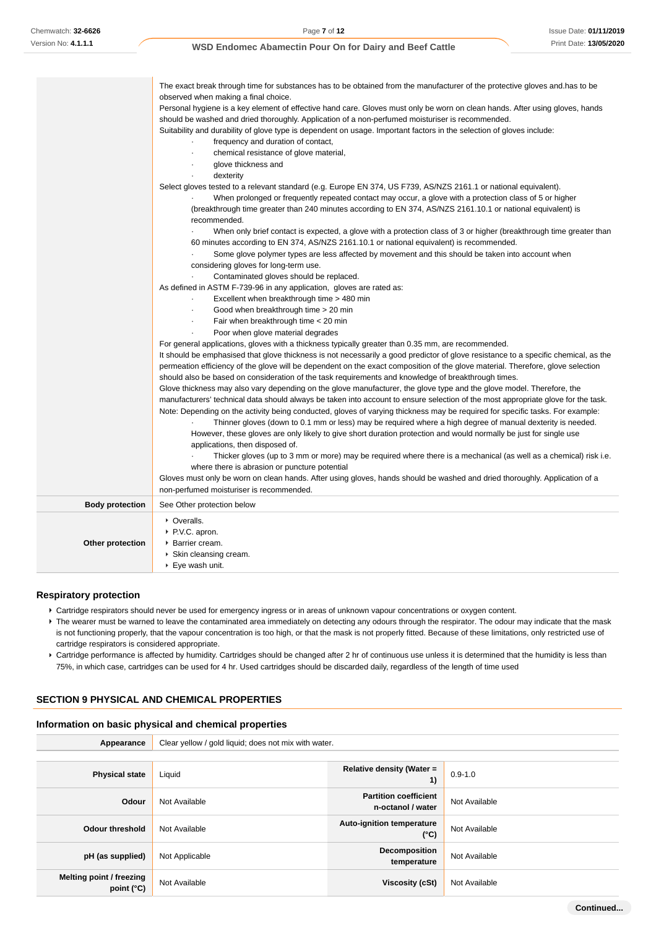| observed when making a final choice.<br>Personal hygiene is a key element of effective hand care. Gloves must only be worn on clean hands. After using gloves, hands<br>should be washed and dried thoroughly. Application of a non-perfumed moisturiser is recommended.<br>Suitability and durability of glove type is dependent on usage. Important factors in the selection of gloves include:<br>frequency and duration of contact,<br>chemical resistance of glove material,<br>glove thickness and<br>٠<br>dexterity<br>Select gloves tested to a relevant standard (e.g. Europe EN 374, US F739, AS/NZS 2161.1 or national equivalent).<br>When prolonged or frequently repeated contact may occur, a glove with a protection class of 5 or higher<br>(breakthrough time greater than 240 minutes according to EN 374, AS/NZS 2161.10.1 or national equivalent) is<br>recommended.<br>When only brief contact is expected, a glove with a protection class of 3 or higher (breakthrough time greater than<br>60 minutes according to EN 374, AS/NZS 2161.10.1 or national equivalent) is recommended.<br>Some glove polymer types are less affected by movement and this should be taken into account when<br>considering gloves for long-term use.<br>Contaminated gloves should be replaced.<br>As defined in ASTM F-739-96 in any application, gloves are rated as:<br>Excellent when breakthrough time > 480 min<br>Good when breakthrough time > 20 min<br>$\epsilon$<br>Fair when breakthrough time < 20 min<br>$\blacksquare$<br>Poor when glove material degrades<br>For general applications, gloves with a thickness typically greater than 0.35 mm, are recommended.<br>It should be emphasised that glove thickness is not necessarily a good predictor of glove resistance to a specific chemical, as the<br>permeation efficiency of the glove will be dependent on the exact composition of the glove material. Therefore, glove selection<br>should also be based on consideration of the task requirements and knowledge of breakthrough times.<br>Glove thickness may also vary depending on the glove manufacturer, the glove type and the glove model. Therefore, the<br>manufacturers' technical data should always be taken into account to ensure selection of the most appropriate glove for the task.<br>Note: Depending on the activity being conducted, gloves of varying thickness may be required for specific tasks. For example:<br>Thinner gloves (down to 0.1 mm or less) may be required where a high degree of manual dexterity is needed.<br>However, these gloves are only likely to give short duration protection and would normally be just for single use<br>applications, then disposed of.<br>Thicker gloves (up to 3 mm or more) may be required where there is a mechanical (as well as a chemical) risk i.e.<br>where there is abrasion or puncture potential<br>Gloves must only be worn on clean hands. After using gloves, hands should be washed and dried thoroughly. Application of a<br>non-perfumed moisturiser is recommended.<br><b>Body protection</b><br>See Other protection below<br>• Overalls.<br>▶ P.V.C. apron.<br>Other protection<br>▶ Barrier cream.<br>▶ Skin cleansing cream.<br>$\blacktriangleright$ Eye wash unit. | The exact break through time for substances has to be obtained from the manufacturer of the protective gloves and has to be |
|---------------------------------------------------------------------------------------------------------------------------------------------------------------------------------------------------------------------------------------------------------------------------------------------------------------------------------------------------------------------------------------------------------------------------------------------------------------------------------------------------------------------------------------------------------------------------------------------------------------------------------------------------------------------------------------------------------------------------------------------------------------------------------------------------------------------------------------------------------------------------------------------------------------------------------------------------------------------------------------------------------------------------------------------------------------------------------------------------------------------------------------------------------------------------------------------------------------------------------------------------------------------------------------------------------------------------------------------------------------------------------------------------------------------------------------------------------------------------------------------------------------------------------------------------------------------------------------------------------------------------------------------------------------------------------------------------------------------------------------------------------------------------------------------------------------------------------------------------------------------------------------------------------------------------------------------------------------------------------------------------------------------------------------------------------------------------------------------------------------------------------------------------------------------------------------------------------------------------------------------------------------------------------------------------------------------------------------------------------------------------------------------------------------------------------------------------------------------------------------------------------------------------------------------------------------------------------------------------------------------------------------------------------------------------------------------------------------------------------------------------------------------------------------------------------------------------------------------------------------------------------------------------------------------------------------------------------------------------------------------------------------------------------------------------------------------------------------------------------------------------------------------------------------------------------------------------------------------------------------------------------------------------------------------------|-----------------------------------------------------------------------------------------------------------------------------|
|                                                                                                                                                                                                                                                                                                                                                                                                                                                                                                                                                                                                                                                                                                                                                                                                                                                                                                                                                                                                                                                                                                                                                                                                                                                                                                                                                                                                                                                                                                                                                                                                                                                                                                                                                                                                                                                                                                                                                                                                                                                                                                                                                                                                                                                                                                                                                                                                                                                                                                                                                                                                                                                                                                                                                                                                                                                                                                                                                                                                                                                                                                                                                                                                                                                                                                   |                                                                                                                             |
|                                                                                                                                                                                                                                                                                                                                                                                                                                                                                                                                                                                                                                                                                                                                                                                                                                                                                                                                                                                                                                                                                                                                                                                                                                                                                                                                                                                                                                                                                                                                                                                                                                                                                                                                                                                                                                                                                                                                                                                                                                                                                                                                                                                                                                                                                                                                                                                                                                                                                                                                                                                                                                                                                                                                                                                                                                                                                                                                                                                                                                                                                                                                                                                                                                                                                                   |                                                                                                                             |
|                                                                                                                                                                                                                                                                                                                                                                                                                                                                                                                                                                                                                                                                                                                                                                                                                                                                                                                                                                                                                                                                                                                                                                                                                                                                                                                                                                                                                                                                                                                                                                                                                                                                                                                                                                                                                                                                                                                                                                                                                                                                                                                                                                                                                                                                                                                                                                                                                                                                                                                                                                                                                                                                                                                                                                                                                                                                                                                                                                                                                                                                                                                                                                                                                                                                                                   |                                                                                                                             |
|                                                                                                                                                                                                                                                                                                                                                                                                                                                                                                                                                                                                                                                                                                                                                                                                                                                                                                                                                                                                                                                                                                                                                                                                                                                                                                                                                                                                                                                                                                                                                                                                                                                                                                                                                                                                                                                                                                                                                                                                                                                                                                                                                                                                                                                                                                                                                                                                                                                                                                                                                                                                                                                                                                                                                                                                                                                                                                                                                                                                                                                                                                                                                                                                                                                                                                   |                                                                                                                             |
|                                                                                                                                                                                                                                                                                                                                                                                                                                                                                                                                                                                                                                                                                                                                                                                                                                                                                                                                                                                                                                                                                                                                                                                                                                                                                                                                                                                                                                                                                                                                                                                                                                                                                                                                                                                                                                                                                                                                                                                                                                                                                                                                                                                                                                                                                                                                                                                                                                                                                                                                                                                                                                                                                                                                                                                                                                                                                                                                                                                                                                                                                                                                                                                                                                                                                                   |                                                                                                                             |
|                                                                                                                                                                                                                                                                                                                                                                                                                                                                                                                                                                                                                                                                                                                                                                                                                                                                                                                                                                                                                                                                                                                                                                                                                                                                                                                                                                                                                                                                                                                                                                                                                                                                                                                                                                                                                                                                                                                                                                                                                                                                                                                                                                                                                                                                                                                                                                                                                                                                                                                                                                                                                                                                                                                                                                                                                                                                                                                                                                                                                                                                                                                                                                                                                                                                                                   |                                                                                                                             |
|                                                                                                                                                                                                                                                                                                                                                                                                                                                                                                                                                                                                                                                                                                                                                                                                                                                                                                                                                                                                                                                                                                                                                                                                                                                                                                                                                                                                                                                                                                                                                                                                                                                                                                                                                                                                                                                                                                                                                                                                                                                                                                                                                                                                                                                                                                                                                                                                                                                                                                                                                                                                                                                                                                                                                                                                                                                                                                                                                                                                                                                                                                                                                                                                                                                                                                   |                                                                                                                             |
|                                                                                                                                                                                                                                                                                                                                                                                                                                                                                                                                                                                                                                                                                                                                                                                                                                                                                                                                                                                                                                                                                                                                                                                                                                                                                                                                                                                                                                                                                                                                                                                                                                                                                                                                                                                                                                                                                                                                                                                                                                                                                                                                                                                                                                                                                                                                                                                                                                                                                                                                                                                                                                                                                                                                                                                                                                                                                                                                                                                                                                                                                                                                                                                                                                                                                                   |                                                                                                                             |
|                                                                                                                                                                                                                                                                                                                                                                                                                                                                                                                                                                                                                                                                                                                                                                                                                                                                                                                                                                                                                                                                                                                                                                                                                                                                                                                                                                                                                                                                                                                                                                                                                                                                                                                                                                                                                                                                                                                                                                                                                                                                                                                                                                                                                                                                                                                                                                                                                                                                                                                                                                                                                                                                                                                                                                                                                                                                                                                                                                                                                                                                                                                                                                                                                                                                                                   |                                                                                                                             |
|                                                                                                                                                                                                                                                                                                                                                                                                                                                                                                                                                                                                                                                                                                                                                                                                                                                                                                                                                                                                                                                                                                                                                                                                                                                                                                                                                                                                                                                                                                                                                                                                                                                                                                                                                                                                                                                                                                                                                                                                                                                                                                                                                                                                                                                                                                                                                                                                                                                                                                                                                                                                                                                                                                                                                                                                                                                                                                                                                                                                                                                                                                                                                                                                                                                                                                   |                                                                                                                             |
|                                                                                                                                                                                                                                                                                                                                                                                                                                                                                                                                                                                                                                                                                                                                                                                                                                                                                                                                                                                                                                                                                                                                                                                                                                                                                                                                                                                                                                                                                                                                                                                                                                                                                                                                                                                                                                                                                                                                                                                                                                                                                                                                                                                                                                                                                                                                                                                                                                                                                                                                                                                                                                                                                                                                                                                                                                                                                                                                                                                                                                                                                                                                                                                                                                                                                                   |                                                                                                                             |
|                                                                                                                                                                                                                                                                                                                                                                                                                                                                                                                                                                                                                                                                                                                                                                                                                                                                                                                                                                                                                                                                                                                                                                                                                                                                                                                                                                                                                                                                                                                                                                                                                                                                                                                                                                                                                                                                                                                                                                                                                                                                                                                                                                                                                                                                                                                                                                                                                                                                                                                                                                                                                                                                                                                                                                                                                                                                                                                                                                                                                                                                                                                                                                                                                                                                                                   |                                                                                                                             |
|                                                                                                                                                                                                                                                                                                                                                                                                                                                                                                                                                                                                                                                                                                                                                                                                                                                                                                                                                                                                                                                                                                                                                                                                                                                                                                                                                                                                                                                                                                                                                                                                                                                                                                                                                                                                                                                                                                                                                                                                                                                                                                                                                                                                                                                                                                                                                                                                                                                                                                                                                                                                                                                                                                                                                                                                                                                                                                                                                                                                                                                                                                                                                                                                                                                                                                   |                                                                                                                             |
|                                                                                                                                                                                                                                                                                                                                                                                                                                                                                                                                                                                                                                                                                                                                                                                                                                                                                                                                                                                                                                                                                                                                                                                                                                                                                                                                                                                                                                                                                                                                                                                                                                                                                                                                                                                                                                                                                                                                                                                                                                                                                                                                                                                                                                                                                                                                                                                                                                                                                                                                                                                                                                                                                                                                                                                                                                                                                                                                                                                                                                                                                                                                                                                                                                                                                                   |                                                                                                                             |
|                                                                                                                                                                                                                                                                                                                                                                                                                                                                                                                                                                                                                                                                                                                                                                                                                                                                                                                                                                                                                                                                                                                                                                                                                                                                                                                                                                                                                                                                                                                                                                                                                                                                                                                                                                                                                                                                                                                                                                                                                                                                                                                                                                                                                                                                                                                                                                                                                                                                                                                                                                                                                                                                                                                                                                                                                                                                                                                                                                                                                                                                                                                                                                                                                                                                                                   |                                                                                                                             |
|                                                                                                                                                                                                                                                                                                                                                                                                                                                                                                                                                                                                                                                                                                                                                                                                                                                                                                                                                                                                                                                                                                                                                                                                                                                                                                                                                                                                                                                                                                                                                                                                                                                                                                                                                                                                                                                                                                                                                                                                                                                                                                                                                                                                                                                                                                                                                                                                                                                                                                                                                                                                                                                                                                                                                                                                                                                                                                                                                                                                                                                                                                                                                                                                                                                                                                   |                                                                                                                             |
|                                                                                                                                                                                                                                                                                                                                                                                                                                                                                                                                                                                                                                                                                                                                                                                                                                                                                                                                                                                                                                                                                                                                                                                                                                                                                                                                                                                                                                                                                                                                                                                                                                                                                                                                                                                                                                                                                                                                                                                                                                                                                                                                                                                                                                                                                                                                                                                                                                                                                                                                                                                                                                                                                                                                                                                                                                                                                                                                                                                                                                                                                                                                                                                                                                                                                                   |                                                                                                                             |
|                                                                                                                                                                                                                                                                                                                                                                                                                                                                                                                                                                                                                                                                                                                                                                                                                                                                                                                                                                                                                                                                                                                                                                                                                                                                                                                                                                                                                                                                                                                                                                                                                                                                                                                                                                                                                                                                                                                                                                                                                                                                                                                                                                                                                                                                                                                                                                                                                                                                                                                                                                                                                                                                                                                                                                                                                                                                                                                                                                                                                                                                                                                                                                                                                                                                                                   |                                                                                                                             |
|                                                                                                                                                                                                                                                                                                                                                                                                                                                                                                                                                                                                                                                                                                                                                                                                                                                                                                                                                                                                                                                                                                                                                                                                                                                                                                                                                                                                                                                                                                                                                                                                                                                                                                                                                                                                                                                                                                                                                                                                                                                                                                                                                                                                                                                                                                                                                                                                                                                                                                                                                                                                                                                                                                                                                                                                                                                                                                                                                                                                                                                                                                                                                                                                                                                                                                   |                                                                                                                             |
|                                                                                                                                                                                                                                                                                                                                                                                                                                                                                                                                                                                                                                                                                                                                                                                                                                                                                                                                                                                                                                                                                                                                                                                                                                                                                                                                                                                                                                                                                                                                                                                                                                                                                                                                                                                                                                                                                                                                                                                                                                                                                                                                                                                                                                                                                                                                                                                                                                                                                                                                                                                                                                                                                                                                                                                                                                                                                                                                                                                                                                                                                                                                                                                                                                                                                                   |                                                                                                                             |
|                                                                                                                                                                                                                                                                                                                                                                                                                                                                                                                                                                                                                                                                                                                                                                                                                                                                                                                                                                                                                                                                                                                                                                                                                                                                                                                                                                                                                                                                                                                                                                                                                                                                                                                                                                                                                                                                                                                                                                                                                                                                                                                                                                                                                                                                                                                                                                                                                                                                                                                                                                                                                                                                                                                                                                                                                                                                                                                                                                                                                                                                                                                                                                                                                                                                                                   |                                                                                                                             |
|                                                                                                                                                                                                                                                                                                                                                                                                                                                                                                                                                                                                                                                                                                                                                                                                                                                                                                                                                                                                                                                                                                                                                                                                                                                                                                                                                                                                                                                                                                                                                                                                                                                                                                                                                                                                                                                                                                                                                                                                                                                                                                                                                                                                                                                                                                                                                                                                                                                                                                                                                                                                                                                                                                                                                                                                                                                                                                                                                                                                                                                                                                                                                                                                                                                                                                   |                                                                                                                             |
|                                                                                                                                                                                                                                                                                                                                                                                                                                                                                                                                                                                                                                                                                                                                                                                                                                                                                                                                                                                                                                                                                                                                                                                                                                                                                                                                                                                                                                                                                                                                                                                                                                                                                                                                                                                                                                                                                                                                                                                                                                                                                                                                                                                                                                                                                                                                                                                                                                                                                                                                                                                                                                                                                                                                                                                                                                                                                                                                                                                                                                                                                                                                                                                                                                                                                                   |                                                                                                                             |
|                                                                                                                                                                                                                                                                                                                                                                                                                                                                                                                                                                                                                                                                                                                                                                                                                                                                                                                                                                                                                                                                                                                                                                                                                                                                                                                                                                                                                                                                                                                                                                                                                                                                                                                                                                                                                                                                                                                                                                                                                                                                                                                                                                                                                                                                                                                                                                                                                                                                                                                                                                                                                                                                                                                                                                                                                                                                                                                                                                                                                                                                                                                                                                                                                                                                                                   |                                                                                                                             |
|                                                                                                                                                                                                                                                                                                                                                                                                                                                                                                                                                                                                                                                                                                                                                                                                                                                                                                                                                                                                                                                                                                                                                                                                                                                                                                                                                                                                                                                                                                                                                                                                                                                                                                                                                                                                                                                                                                                                                                                                                                                                                                                                                                                                                                                                                                                                                                                                                                                                                                                                                                                                                                                                                                                                                                                                                                                                                                                                                                                                                                                                                                                                                                                                                                                                                                   |                                                                                                                             |
|                                                                                                                                                                                                                                                                                                                                                                                                                                                                                                                                                                                                                                                                                                                                                                                                                                                                                                                                                                                                                                                                                                                                                                                                                                                                                                                                                                                                                                                                                                                                                                                                                                                                                                                                                                                                                                                                                                                                                                                                                                                                                                                                                                                                                                                                                                                                                                                                                                                                                                                                                                                                                                                                                                                                                                                                                                                                                                                                                                                                                                                                                                                                                                                                                                                                                                   |                                                                                                                             |
|                                                                                                                                                                                                                                                                                                                                                                                                                                                                                                                                                                                                                                                                                                                                                                                                                                                                                                                                                                                                                                                                                                                                                                                                                                                                                                                                                                                                                                                                                                                                                                                                                                                                                                                                                                                                                                                                                                                                                                                                                                                                                                                                                                                                                                                                                                                                                                                                                                                                                                                                                                                                                                                                                                                                                                                                                                                                                                                                                                                                                                                                                                                                                                                                                                                                                                   |                                                                                                                             |
|                                                                                                                                                                                                                                                                                                                                                                                                                                                                                                                                                                                                                                                                                                                                                                                                                                                                                                                                                                                                                                                                                                                                                                                                                                                                                                                                                                                                                                                                                                                                                                                                                                                                                                                                                                                                                                                                                                                                                                                                                                                                                                                                                                                                                                                                                                                                                                                                                                                                                                                                                                                                                                                                                                                                                                                                                                                                                                                                                                                                                                                                                                                                                                                                                                                                                                   |                                                                                                                             |
|                                                                                                                                                                                                                                                                                                                                                                                                                                                                                                                                                                                                                                                                                                                                                                                                                                                                                                                                                                                                                                                                                                                                                                                                                                                                                                                                                                                                                                                                                                                                                                                                                                                                                                                                                                                                                                                                                                                                                                                                                                                                                                                                                                                                                                                                                                                                                                                                                                                                                                                                                                                                                                                                                                                                                                                                                                                                                                                                                                                                                                                                                                                                                                                                                                                                                                   |                                                                                                                             |
|                                                                                                                                                                                                                                                                                                                                                                                                                                                                                                                                                                                                                                                                                                                                                                                                                                                                                                                                                                                                                                                                                                                                                                                                                                                                                                                                                                                                                                                                                                                                                                                                                                                                                                                                                                                                                                                                                                                                                                                                                                                                                                                                                                                                                                                                                                                                                                                                                                                                                                                                                                                                                                                                                                                                                                                                                                                                                                                                                                                                                                                                                                                                                                                                                                                                                                   |                                                                                                                             |
|                                                                                                                                                                                                                                                                                                                                                                                                                                                                                                                                                                                                                                                                                                                                                                                                                                                                                                                                                                                                                                                                                                                                                                                                                                                                                                                                                                                                                                                                                                                                                                                                                                                                                                                                                                                                                                                                                                                                                                                                                                                                                                                                                                                                                                                                                                                                                                                                                                                                                                                                                                                                                                                                                                                                                                                                                                                                                                                                                                                                                                                                                                                                                                                                                                                                                                   |                                                                                                                             |
|                                                                                                                                                                                                                                                                                                                                                                                                                                                                                                                                                                                                                                                                                                                                                                                                                                                                                                                                                                                                                                                                                                                                                                                                                                                                                                                                                                                                                                                                                                                                                                                                                                                                                                                                                                                                                                                                                                                                                                                                                                                                                                                                                                                                                                                                                                                                                                                                                                                                                                                                                                                                                                                                                                                                                                                                                                                                                                                                                                                                                                                                                                                                                                                                                                                                                                   |                                                                                                                             |
|                                                                                                                                                                                                                                                                                                                                                                                                                                                                                                                                                                                                                                                                                                                                                                                                                                                                                                                                                                                                                                                                                                                                                                                                                                                                                                                                                                                                                                                                                                                                                                                                                                                                                                                                                                                                                                                                                                                                                                                                                                                                                                                                                                                                                                                                                                                                                                                                                                                                                                                                                                                                                                                                                                                                                                                                                                                                                                                                                                                                                                                                                                                                                                                                                                                                                                   |                                                                                                                             |
|                                                                                                                                                                                                                                                                                                                                                                                                                                                                                                                                                                                                                                                                                                                                                                                                                                                                                                                                                                                                                                                                                                                                                                                                                                                                                                                                                                                                                                                                                                                                                                                                                                                                                                                                                                                                                                                                                                                                                                                                                                                                                                                                                                                                                                                                                                                                                                                                                                                                                                                                                                                                                                                                                                                                                                                                                                                                                                                                                                                                                                                                                                                                                                                                                                                                                                   |                                                                                                                             |
|                                                                                                                                                                                                                                                                                                                                                                                                                                                                                                                                                                                                                                                                                                                                                                                                                                                                                                                                                                                                                                                                                                                                                                                                                                                                                                                                                                                                                                                                                                                                                                                                                                                                                                                                                                                                                                                                                                                                                                                                                                                                                                                                                                                                                                                                                                                                                                                                                                                                                                                                                                                                                                                                                                                                                                                                                                                                                                                                                                                                                                                                                                                                                                                                                                                                                                   |                                                                                                                             |
|                                                                                                                                                                                                                                                                                                                                                                                                                                                                                                                                                                                                                                                                                                                                                                                                                                                                                                                                                                                                                                                                                                                                                                                                                                                                                                                                                                                                                                                                                                                                                                                                                                                                                                                                                                                                                                                                                                                                                                                                                                                                                                                                                                                                                                                                                                                                                                                                                                                                                                                                                                                                                                                                                                                                                                                                                                                                                                                                                                                                                                                                                                                                                                                                                                                                                                   |                                                                                                                             |
|                                                                                                                                                                                                                                                                                                                                                                                                                                                                                                                                                                                                                                                                                                                                                                                                                                                                                                                                                                                                                                                                                                                                                                                                                                                                                                                                                                                                                                                                                                                                                                                                                                                                                                                                                                                                                                                                                                                                                                                                                                                                                                                                                                                                                                                                                                                                                                                                                                                                                                                                                                                                                                                                                                                                                                                                                                                                                                                                                                                                                                                                                                                                                                                                                                                                                                   |                                                                                                                             |
|                                                                                                                                                                                                                                                                                                                                                                                                                                                                                                                                                                                                                                                                                                                                                                                                                                                                                                                                                                                                                                                                                                                                                                                                                                                                                                                                                                                                                                                                                                                                                                                                                                                                                                                                                                                                                                                                                                                                                                                                                                                                                                                                                                                                                                                                                                                                                                                                                                                                                                                                                                                                                                                                                                                                                                                                                                                                                                                                                                                                                                                                                                                                                                                                                                                                                                   |                                                                                                                             |
|                                                                                                                                                                                                                                                                                                                                                                                                                                                                                                                                                                                                                                                                                                                                                                                                                                                                                                                                                                                                                                                                                                                                                                                                                                                                                                                                                                                                                                                                                                                                                                                                                                                                                                                                                                                                                                                                                                                                                                                                                                                                                                                                                                                                                                                                                                                                                                                                                                                                                                                                                                                                                                                                                                                                                                                                                                                                                                                                                                                                                                                                                                                                                                                                                                                                                                   |                                                                                                                             |
|                                                                                                                                                                                                                                                                                                                                                                                                                                                                                                                                                                                                                                                                                                                                                                                                                                                                                                                                                                                                                                                                                                                                                                                                                                                                                                                                                                                                                                                                                                                                                                                                                                                                                                                                                                                                                                                                                                                                                                                                                                                                                                                                                                                                                                                                                                                                                                                                                                                                                                                                                                                                                                                                                                                                                                                                                                                                                                                                                                                                                                                                                                                                                                                                                                                                                                   |                                                                                                                             |
|                                                                                                                                                                                                                                                                                                                                                                                                                                                                                                                                                                                                                                                                                                                                                                                                                                                                                                                                                                                                                                                                                                                                                                                                                                                                                                                                                                                                                                                                                                                                                                                                                                                                                                                                                                                                                                                                                                                                                                                                                                                                                                                                                                                                                                                                                                                                                                                                                                                                                                                                                                                                                                                                                                                                                                                                                                                                                                                                                                                                                                                                                                                                                                                                                                                                                                   |                                                                                                                             |
|                                                                                                                                                                                                                                                                                                                                                                                                                                                                                                                                                                                                                                                                                                                                                                                                                                                                                                                                                                                                                                                                                                                                                                                                                                                                                                                                                                                                                                                                                                                                                                                                                                                                                                                                                                                                                                                                                                                                                                                                                                                                                                                                                                                                                                                                                                                                                                                                                                                                                                                                                                                                                                                                                                                                                                                                                                                                                                                                                                                                                                                                                                                                                                                                                                                                                                   |                                                                                                                             |

### **Respiratory protection**

- Cartridge respirators should never be used for emergency ingress or in areas of unknown vapour concentrations or oxygen content.
- ▶ The wearer must be warned to leave the contaminated area immediately on detecting any odours through the respirator. The odour may indicate that the mask is not functioning properly, that the vapour concentration is too high, or that the mask is not properly fitted. Because of these limitations, only restricted use of cartridge respirators is considered appropriate.
- ▶ Cartridge performance is affected by humidity. Cartridges should be changed after 2 hr of continuous use unless it is determined that the humidity is less than 75%, in which case, cartridges can be used for 4 hr. Used cartridges should be discarded daily, regardless of the length of time used

# **SECTION 9 PHYSICAL AND CHEMICAL PROPERTIES**

### **Information on basic physical and chemical properties**

| Appearance                                    | Clear yellow / gold liquid; does not mix with water. |                                                   |               |
|-----------------------------------------------|------------------------------------------------------|---------------------------------------------------|---------------|
|                                               |                                                      |                                                   |               |
| <b>Physical state</b>                         | Liquid                                               | Relative density (Water =<br>1)                   | $0.9 - 1.0$   |
| Odour                                         | Not Available                                        | <b>Partition coefficient</b><br>n-octanol / water | Not Available |
| <b>Odour threshold</b>                        | Not Available                                        | <b>Auto-ignition temperature</b><br>$(^{\circ}C)$ | Not Available |
| pH (as supplied)                              | Not Applicable                                       | Decomposition<br>temperature                      | Not Available |
| <b>Melting point / freezing</b><br>point (°C) | Not Available                                        | Viscosity (cSt)                                   | Not Available |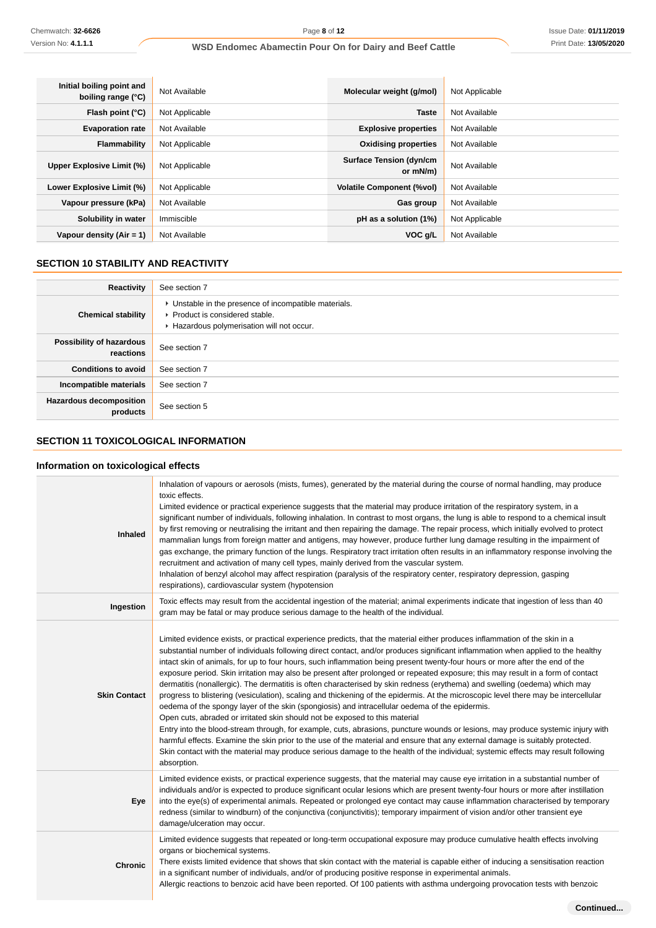$\overline{1}$ 

| Initial boiling point and<br>boiling range (°C) | Not Available  | Molecular weight (g/mol)                   | Not Applicable |
|-------------------------------------------------|----------------|--------------------------------------------|----------------|
| Flash point $(°C)$                              | Not Applicable | <b>Taste</b>                               | Not Available  |
| <b>Evaporation rate</b>                         | Not Available  | <b>Explosive properties</b>                | Not Available  |
| Flammability                                    | Not Applicable | <b>Oxidising properties</b>                | Not Available  |
| Upper Explosive Limit (%)                       | Not Applicable | <b>Surface Tension (dyn/cm</b><br>or mN/m) | Not Available  |
| Lower Explosive Limit (%)                       | Not Applicable | <b>Volatile Component (%vol)</b>           | Not Available  |
| Vapour pressure (kPa)                           | Not Available  | Gas group                                  | Not Available  |
| Solubility in water                             | Immiscible     | pH as a solution (1%)                      | Not Applicable |
| Vapour density $(Air = 1)$                      | Not Available  | VOC g/L                                    | Not Available  |

# **SECTION 10 STABILITY AND REACTIVITY**

| Reactivity                                 | See section 7                                                                                                                        |
|--------------------------------------------|--------------------------------------------------------------------------------------------------------------------------------------|
| <b>Chemical stability</b>                  | • Unstable in the presence of incompatible materials.<br>▶ Product is considered stable.<br>Hazardous polymerisation will not occur. |
| Possibility of hazardous<br>reactions      | See section 7                                                                                                                        |
| <b>Conditions to avoid</b>                 | See section 7                                                                                                                        |
| Incompatible materials                     | See section 7                                                                                                                        |
| <b>Hazardous decomposition</b><br>products | See section 5                                                                                                                        |

# **SECTION 11 TOXICOLOGICAL INFORMATION**

# **Information on toxicological effects**

| Inhaled             | Inhalation of vapours or aerosols (mists, fumes), generated by the material during the course of normal handling, may produce<br>toxic effects.<br>Limited evidence or practical experience suggests that the material may produce irritation of the respiratory system, in a<br>significant number of individuals, following inhalation. In contrast to most organs, the lung is able to respond to a chemical insult<br>by first removing or neutralising the irritant and then repairing the damage. The repair process, which initially evolved to protect<br>mammalian lungs from foreign matter and antigens, may however, produce further lung damage resulting in the impairment of<br>gas exchange, the primary function of the lungs. Respiratory tract irritation often results in an inflammatory response involving the<br>recruitment and activation of many cell types, mainly derived from the vascular system.<br>Inhalation of benzyl alcohol may affect respiration (paralysis of the respiratory center, respiratory depression, gasping<br>respirations), cardiovascular system (hypotension                                                                                                                                                                                                                                                                                              |
|---------------------|----------------------------------------------------------------------------------------------------------------------------------------------------------------------------------------------------------------------------------------------------------------------------------------------------------------------------------------------------------------------------------------------------------------------------------------------------------------------------------------------------------------------------------------------------------------------------------------------------------------------------------------------------------------------------------------------------------------------------------------------------------------------------------------------------------------------------------------------------------------------------------------------------------------------------------------------------------------------------------------------------------------------------------------------------------------------------------------------------------------------------------------------------------------------------------------------------------------------------------------------------------------------------------------------------------------------------------------------------------------------------------------------------------------|
| Ingestion           | Toxic effects may result from the accidental ingestion of the material; animal experiments indicate that ingestion of less than 40<br>gram may be fatal or may produce serious damage to the health of the individual.                                                                                                                                                                                                                                                                                                                                                                                                                                                                                                                                                                                                                                                                                                                                                                                                                                                                                                                                                                                                                                                                                                                                                                                         |
| <b>Skin Contact</b> | Limited evidence exists, or practical experience predicts, that the material either produces inflammation of the skin in a<br>substantial number of individuals following direct contact, and/or produces significant inflammation when applied to the healthy<br>intact skin of animals, for up to four hours, such inflammation being present twenty-four hours or more after the end of the<br>exposure period. Skin irritation may also be present after prolonged or repeated exposure; this may result in a form of contact<br>dermatitis (nonallergic). The dermatitis is often characterised by skin redness (erythema) and swelling (oedema) which may<br>progress to blistering (vesiculation), scaling and thickening of the epidermis. At the microscopic level there may be intercellular<br>oedema of the spongy layer of the skin (spongiosis) and intracellular oedema of the epidermis.<br>Open cuts, abraded or irritated skin should not be exposed to this material<br>Entry into the blood-stream through, for example, cuts, abrasions, puncture wounds or lesions, may produce systemic injury with<br>harmful effects. Examine the skin prior to the use of the material and ensure that any external damage is suitably protected.<br>Skin contact with the material may produce serious damage to the health of the individual; systemic effects may result following<br>absorption. |
| Eye                 | Limited evidence exists, or practical experience suggests, that the material may cause eye irritation in a substantial number of<br>individuals and/or is expected to produce significant ocular lesions which are present twenty-four hours or more after instillation<br>into the eye(s) of experimental animals. Repeated or prolonged eye contact may cause inflammation characterised by temporary<br>redness (similar to windburn) of the conjunctiva (conjunctivitis); temporary impairment of vision and/or other transient eye<br>damage/ulceration may occur.                                                                                                                                                                                                                                                                                                                                                                                                                                                                                                                                                                                                                                                                                                                                                                                                                                        |
| <b>Chronic</b>      | Limited evidence suggests that repeated or long-term occupational exposure may produce cumulative health effects involving<br>organs or biochemical systems.<br>There exists limited evidence that shows that skin contact with the material is capable either of inducing a sensitisation reaction<br>in a significant number of individuals, and/or of producing positive response in experimental animals.<br>Allergic reactions to benzoic acid have been reported. Of 100 patients with asthma undergoing provocation tests with benzoic                                                                                                                                                                                                                                                                                                                                                                                                                                                                                                                                                                                                                                                                                                                                                                                                                                                                  |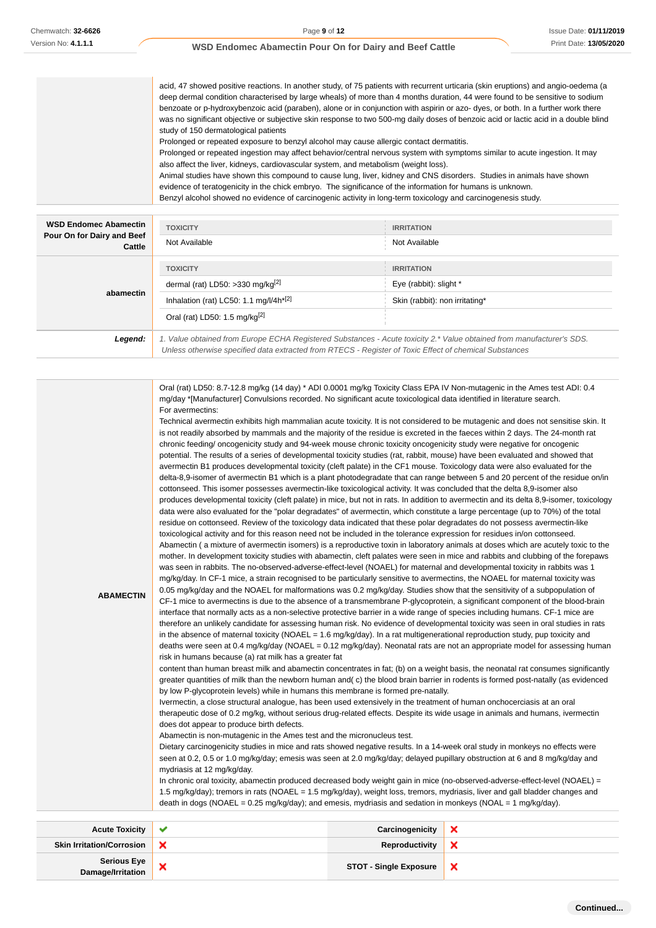Ĩ.

# **WSD Endomec Abamectin Pour On for Dairy and Beef Cattle**

| acid, 47 showed positive reactions. In another study, of 75 patients with recurrent urticaria (skin eruptions) and angio-oedema (a  |
|-------------------------------------------------------------------------------------------------------------------------------------|
| deep dermal condition characterised by large wheals) of more than 4 months duration, 44 were found to be sensitive to sodium        |
| benzoate or p-hydroxybenzoic acid (paraben), alone or in conjunction with aspirin or azo-dyes, or both. In a further work there     |
| was no significant objective or subjective skin response to two 500-mg daily doses of benzoic acid or lactic acid in a double blind |
| study of 150 dermatological patients                                                                                                |
| Prolonged or repeated exposure to benzyl alcohol may cause allergic contact dermatitis.                                             |
| Prolonged or repeated ingestion may affect behavior/central nervous system with symptoms similar to acute ingestion. It may         |
| also affect the liver, kidneys, cardiovascular system, and metabolism (weight loss).                                                |
| Animal studies have shown this compound to cause lung, liver, kidney and CNS disorders. Studies in animals have shown               |
| evidence of teratogenicity in the chick embryo. The significance of the information for humans is unknown.                          |
| Benzyl alcohol showed no evidence of carcinogenic activity in long-term toxicology and carcinogenesis study.                        |
|                                                                                                                                     |
|                                                                                                                                     |

| <b>WSD Endomec Abamectin</b>         | <b>TOXICITY</b>                                                                                                       | <b>IRRITATION</b>              |
|--------------------------------------|-----------------------------------------------------------------------------------------------------------------------|--------------------------------|
| Pour On for Dairy and Beef<br>Cattle | Not Available                                                                                                         | Not Available                  |
|                                      | <b>TOXICITY</b>                                                                                                       | <b>IRRITATION</b>              |
| abamectin                            | dermal (rat) LD50: >330 mg/kg $^{[2]}$                                                                                | Eye (rabbit): slight *         |
|                                      | Inhalation (rat) LC50: 1.1 mg/l/4h <sup>*[2]</sup>                                                                    | Skin (rabbit): non irritating* |
|                                      | Oral (rat) LD50: 1.5 mg/kg $^{[2]}$                                                                                   |                                |
| Legend:                              | 1. Value obtained from Europe ECHA Registered Substances - Acute toxicity 2.* Value obtained from manufacturer's SDS. |                                |
|                                      | Unless otherwise specified data extracted from RTECS - Register of Toxic Effect of chemical Substances                |                                |

**Skin Irritation/Corrosion X Reproductivity**  $\pmb{\times}$ **Serious Eye Damage/Irritation X**<br>Damage/Irritation **X**  $\pmb{\times}$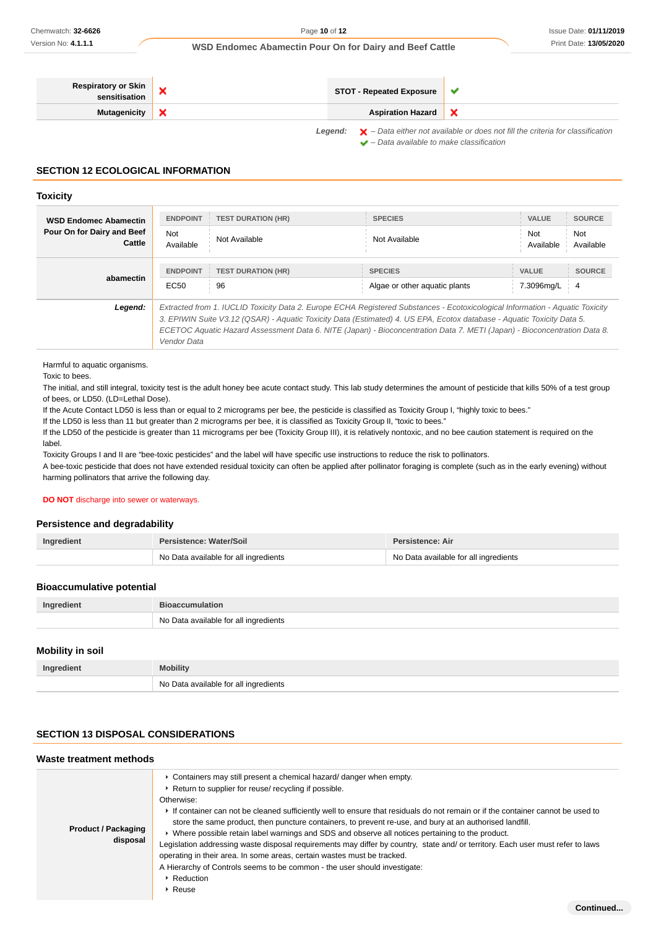**Continued...**

### **WSD Endomec Abamectin Pour On for Dairy and Beef Cattle**

| <b>Respiratory or Skin</b> | <b>STOT - Repeated Exposure</b> | w                                                                                      |
|----------------------------|---------------------------------|----------------------------------------------------------------------------------------|
| Mutagenicity   X           | <b>Aspiration Hazard</b>        |                                                                                        |
|                            |                                 | Logarda La Lato cittography indicated as deep not fill the exiteria for eleccitization |

Legend:  $\mathsf{X}$  - Data either not available or does not fill the criteria for classification  $\blacktriangleright$  – Data available to make classification

# **SECTION 12 ECOLOGICAL INFORMATION**

#### **Toxicity**

| <b>WSD Endomec Abamectin</b><br>Pour On for Dairy and Beef<br>Cattle | <b>ENDPOINT</b><br><b>TEST DURATION (HR)</b><br><b>Not</b><br>Not Available<br>Available                                                                                                                                                                                                                                                                                                           | <b>SPECIES</b><br>Not Available                 | <b>VALUE</b><br><b>SOURCE</b><br>Not<br>Not<br>Available<br>Available |
|----------------------------------------------------------------------|----------------------------------------------------------------------------------------------------------------------------------------------------------------------------------------------------------------------------------------------------------------------------------------------------------------------------------------------------------------------------------------------------|-------------------------------------------------|-----------------------------------------------------------------------|
| abamectin                                                            | <b>ENDPOINT</b><br><b>TEST DURATION (HR)</b><br>EC <sub>50</sub><br>96                                                                                                                                                                                                                                                                                                                             | <b>SPECIES</b><br>Algae or other aguatic plants | <b>SOURCE</b><br>VALUE<br>7.3096mg/L<br>-4                            |
| Legend:                                                              | Extracted from 1. IUCLID Toxicity Data 2. Europe ECHA Registered Substances - Ecotoxicological Information - Aquatic Toxicity<br>3. EPIWIN Suite V3.12 (QSAR) - Aquatic Toxicity Data (Estimated) 4. US EPA, Ecotox database - Aquatic Toxicity Data 5.<br>ECETOC Aquatic Hazard Assessment Data 6. NITE (Japan) - Bioconcentration Data 7. METI (Japan) - Bioconcentration Data 8.<br>Vendor Data |                                                 |                                                                       |

Harmful to aquatic organisms.

Toxic to bees.

The initial, and still integral, toxicity test is the adult honey bee acute contact study. This lab study determines the amount of pesticide that kills 50% of a test group of bees, or LD50. (LD=Lethal Dose).

If the Acute Contact LD50 is less than or equal to 2 micrograms per bee, the pesticide is classified as Toxicity Group I, "highly toxic to bees."

If the LD50 is less than 11 but greater than 2 micrograms per bee, it is classified as Toxicity Group II, "toxic to bees."

If the LD50 of the pesticide is greater than 11 micrograms per bee (Toxicity Group III), it is relatively nontoxic, and no bee caution statement is required on the label.

Toxicity Groups I and II are "bee-toxic pesticides" and the label will have specific use instructions to reduce the risk to pollinators.

A bee-toxic pesticide that does not have extended residual toxicity can often be applied after pollinator foraging is complete (such as in the early evening) without harming pollinators that arrive the following day.

### **DO NOT** discharge into sewer or waterways.

# **Persistence and degradability**

| Ingredient | Persistence: Water/Soil               | Persistence: Air                      |
|------------|---------------------------------------|---------------------------------------|
|            | No Data available for all ingredients | No Data available for all ingredients |

### **Bioaccumulative potential**

| Ingredient |                                                     |
|------------|-----------------------------------------------------|
| <b>No</b>  | Data available for all ingredients<br>$\sim$ $\sim$ |

# **Mobility in soil**

| Ingredient | <b>Mobility</b>                          |
|------------|------------------------------------------|
|            | No<br>Data available for all ingredients |

# **SECTION 13 DISPOSAL CONSIDERATIONS**

### **Waste treatment methods**

| <b>Product / Packaging</b><br>disposal | • Containers may still present a chemical hazard/ danger when empty.<br>▶ Return to supplier for reuse/ recycling if possible.<br>Otherwise:<br>If container can not be cleaned sufficiently well to ensure that residuals do not remain or if the container cannot be used to<br>store the same product, then puncture containers, to prevent re-use, and bury at an authorised landfill.<br>► Where possible retain label warnings and SDS and observe all notices pertaining to the product.<br>Legislation addressing waste disposal requirements may differ by country, state and/ or territory. Each user must refer to laws<br>operating in their area. In some areas, certain wastes must be tracked.<br>A Hierarchy of Controls seems to be common - the user should investigate:<br>▶ Reduction<br>$\triangleright$ Reuse |
|----------------------------------------|-------------------------------------------------------------------------------------------------------------------------------------------------------------------------------------------------------------------------------------------------------------------------------------------------------------------------------------------------------------------------------------------------------------------------------------------------------------------------------------------------------------------------------------------------------------------------------------------------------------------------------------------------------------------------------------------------------------------------------------------------------------------------------------------------------------------------------------|
|----------------------------------------|-------------------------------------------------------------------------------------------------------------------------------------------------------------------------------------------------------------------------------------------------------------------------------------------------------------------------------------------------------------------------------------------------------------------------------------------------------------------------------------------------------------------------------------------------------------------------------------------------------------------------------------------------------------------------------------------------------------------------------------------------------------------------------------------------------------------------------------|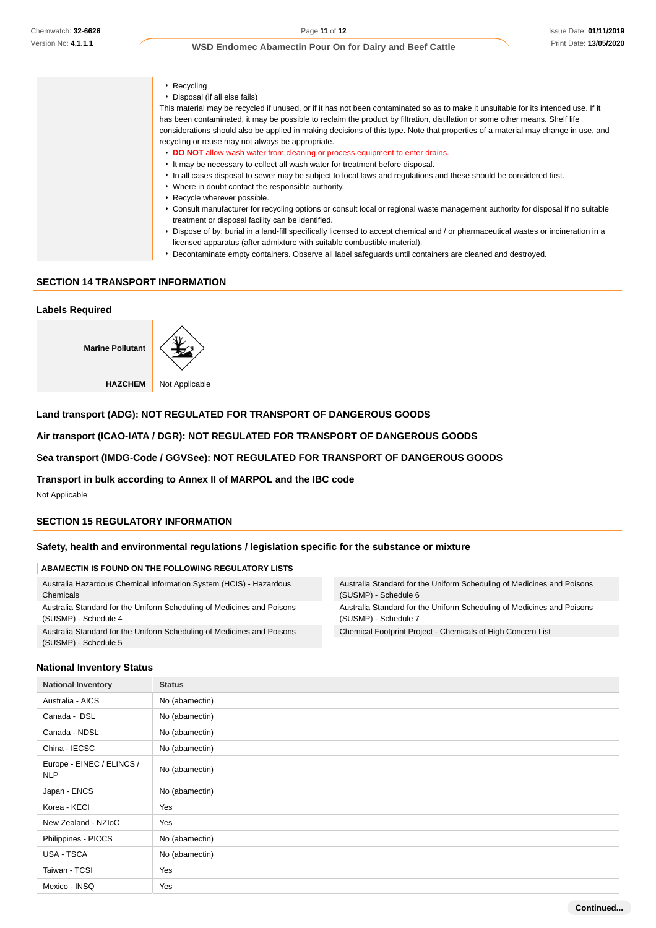| $\cdot$ Recycling                                                                                                                   |
|-------------------------------------------------------------------------------------------------------------------------------------|
| ▶ Disposal (if all else fails)                                                                                                      |
| This material may be recycled if unused, or if it has not been contaminated so as to make it unsuitable for its intended use. If it |
| has been contaminated, it may be possible to reclaim the product by filtration, distillation or some other means. Shelf life        |
| considerations should also be applied in making decisions of this type. Note that properties of a material may change in use, and   |
| recycling or reuse may not always be appropriate.                                                                                   |
| DO NOT allow wash water from cleaning or process equipment to enter drains.                                                         |
| It may be necessary to collect all wash water for treatment before disposal.                                                        |
| In all cases disposal to sewer may be subject to local laws and regulations and these should be considered first.                   |
| • Where in doubt contact the responsible authority.                                                                                 |
| ▶ Recycle wherever possible.                                                                                                        |
| ► Consult manufacturer for recycling options or consult local or regional waste management authority for disposal if no suitable    |
| treatment or disposal facility can be identified.                                                                                   |
| ► Dispose of by: burial in a land-fill specifically licensed to accept chemical and / or pharmaceutical wastes or incineration in a |
| licensed apparatus (after admixture with suitable combustible material).                                                            |
| ▶ Decontaminate empty containers. Observe all label safeguards until containers are cleaned and destroyed.                          |

### **SECTION 14 TRANSPORT INFORMATION**

### **Labels Required**

| <b>Marine Pollutant</b> |                |
|-------------------------|----------------|
| HAZCHEM                 | Not Applicable |

# **Land transport (ADG): NOT REGULATED FOR TRANSPORT OF DANGEROUS GOODS**

# **Air transport (ICAO-IATA / DGR): NOT REGULATED FOR TRANSPORT OF DANGEROUS GOODS**

# **Sea transport (IMDG-Code / GGVSee): NOT REGULATED FOR TRANSPORT OF DANGEROUS GOODS**

# **Transport in bulk according to Annex II of MARPOL and the IBC code**

Not Applicable

# **SECTION 15 REGULATORY INFORMATION**

### **Safety, health and environmental regulations / legislation specific for the substance or mixture**

### **ABAMECTIN IS FOUND ON THE FOLLOWING REGULATORY LISTS**

| Australia Hazardous Chemical Information System (HCIS) - Hazardous<br>Chemicals                | Australia Standard for the Uniform Scheduling of Medicines and Poisons<br>(SUSMP) - Schedule 6 |
|------------------------------------------------------------------------------------------------|------------------------------------------------------------------------------------------------|
| Australia Standard for the Uniform Scheduling of Medicines and Poisons<br>(SUSMP) - Schedule 4 | Australia Standard for the Uniform Scheduling of Medicines and Poisons<br>(SUSMP) - Schedule 7 |
| Australia Standard for the Uniform Scheduling of Medicines and Poisons                         | Chemical Footprint Project - Chemicals of High Concern List                                    |
| (SUSMP) - Schedule 5                                                                           |                                                                                                |

### **National Inventory Status**

| <b>National Inventory</b>               | <b>Status</b>  |
|-----------------------------------------|----------------|
| Australia - AICS                        | No (abamectin) |
| Canada - DSL                            | No (abamectin) |
| Canada - NDSL                           | No (abamectin) |
| China - IECSC                           | No (abamectin) |
| Europe - EINEC / ELINCS /<br><b>NLP</b> | No (abamectin) |
| Japan - ENCS                            | No (abamectin) |
| Korea - KECI                            | Yes            |
| New Zealand - NZIoC                     | Yes            |
| Philippines - PICCS                     | No (abamectin) |
| USA - TSCA                              | No (abamectin) |
| Taiwan - TCSI                           | Yes            |
| Mexico - INSQ                           | Yes            |